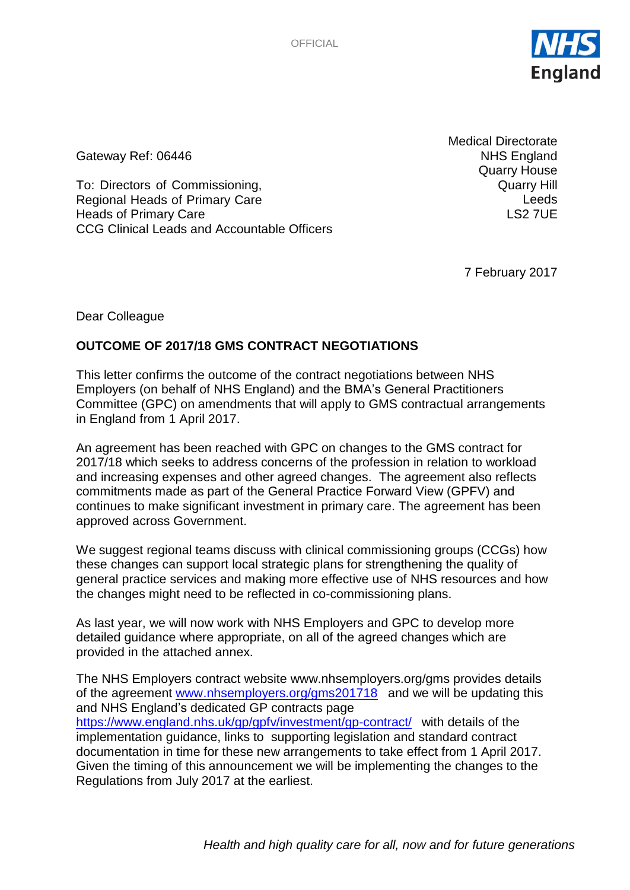

Gateway Ref: 06446

To: Directors of Commissioning, Regional Heads of Primary Care Heads of Primary Care CCG Clinical Leads and Accountable Officers Medical Directorate NHS England Quarry House Quarry Hill Leeds LS2 7UE

7 February 2017

Dear Colleague

# **OUTCOME OF 2017/18 GMS CONTRACT NEGOTIATIONS**

This letter confirms the outcome of the contract negotiations between NHS Employers (on behalf of NHS England) and the BMA's General Practitioners Committee (GPC) on amendments that will apply to GMS contractual arrangements in England from 1 April 2017.

An agreement has been reached with GPC on changes to the GMS contract for 2017/18 which seeks to address concerns of the profession in relation to workload and increasing expenses and other agreed changes. The agreement also reflects commitments made as part of the General Practice Forward View (GPFV) and continues to make significant investment in primary care. The agreement has been approved across Government.

We suggest regional teams discuss with clinical commissioning groups (CCGs) how these changes can support local strategic plans for strengthening the quality of general practice services and making more effective use of NHS resources and how the changes might need to be reflected in co-commissioning plans.

As last year, we will now work with NHS Employers and GPC to develop more detailed guidance where appropriate, on all of the agreed changes which are provided in the attached annex.

The NHS Employers contract website [www.nhsemployers.org/gms p](http://www.nhsemployers.org/gms)rovides details of the agreement [www.nhsemployers.org/gms201718](http://www.nhsemployers.org/gms201718) and we will be updating this and NHS England's dedicated GP contracts page <https://www.england.nhs.uk/gp/gpfv/investment/gp-contract/> with details of the implementation guidance, links to supporting legislation and standard contract documentation in time for these new arrangements to take effect from 1 April 2017. Given the timing of this announcement we will be implementing the changes to the Regulations from July 2017 at the earliest.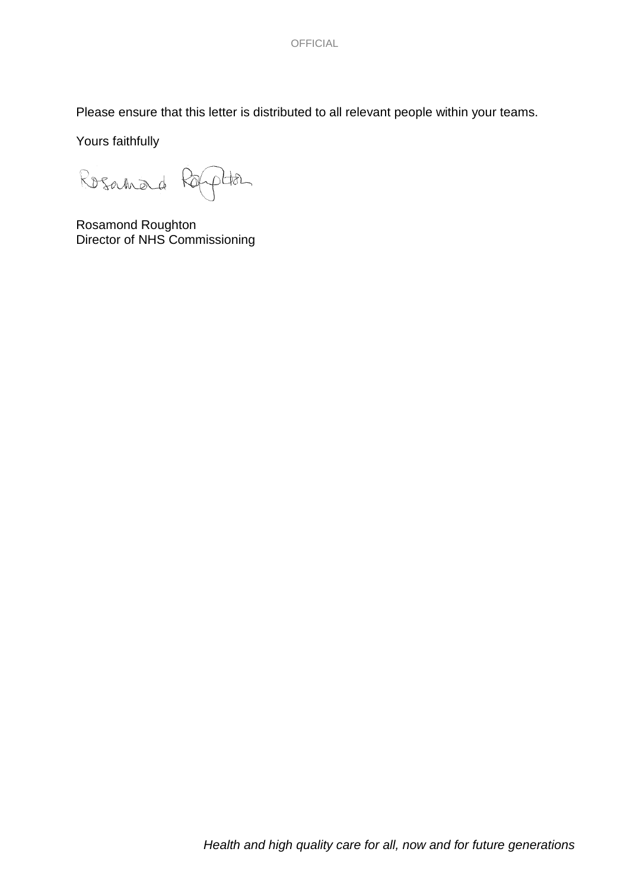**OFFICIAL** 

Please ensure that this letter is distributed to all relevant people within your teams.

Yours faithfully

Rosamad Raphan

Rosamond Roughton Director of NHS Commissioning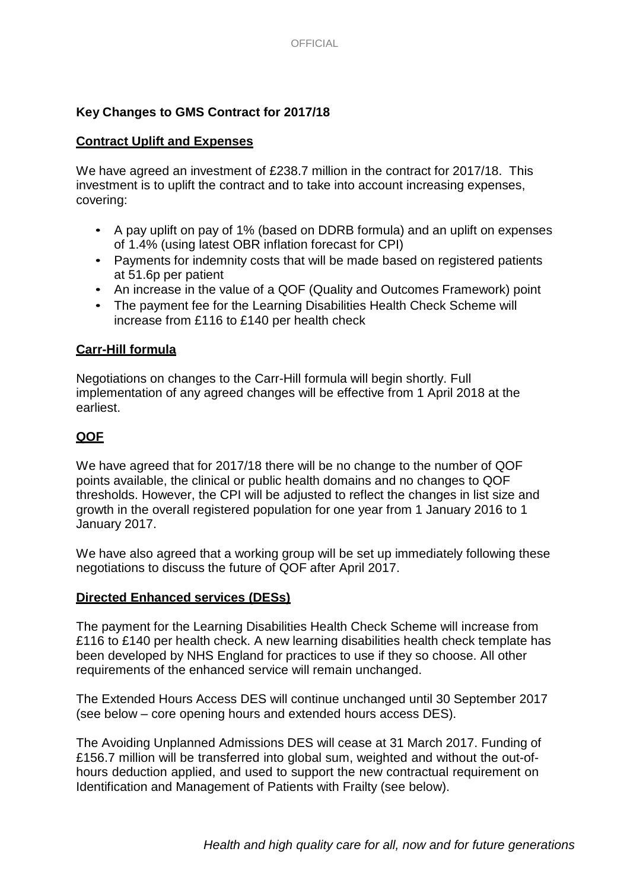## **Key Changes to GMS Contract for 2017/18**

### **Contract Uplift and Expenses**

We have agreed an investment of £238.7 million in the contract for 2017/18. This investment is to uplift the contract and to take into account increasing expenses, covering:

- A pay uplift on pay of 1% (based on DDRB formula) and an uplift on expenses of 1.4% (using latest OBR inflation forecast for CPI)
- Payments for indemnity costs that will be made based on registered patients at 51.6p per patient
- An increase in the value of a QOF (Quality and Outcomes Framework) point
- The payment fee for the Learning Disabilities Health Check Scheme will increase from £116 to £140 per health check

### **Carr-Hill formula**

Negotiations on changes to the Carr-Hill formula will begin shortly. Full implementation of any agreed changes will be effective from 1 April 2018 at the earliest.

### **QOF**

We have agreed that for 2017/18 there will be no change to the number of QOF points available, the clinical or public health domains and no changes to QOF thresholds. However, the CPI will be adjusted to reflect the changes in list size and growth in the overall registered population for one year from 1 January 2016 to 1 January 2017.

We have also agreed that a working group will be set up immediately following these negotiations to discuss the future of QOF after April 2017.

#### **Directed Enhanced services (DESs)**

The payment for the Learning Disabilities Health Check Scheme will increase from £116 to £140 per health check. A new learning disabilities health check template has been developed by NHS England for practices to use if they so choose. All other requirements of the enhanced service will remain unchanged.

The Extended Hours Access DES will continue unchanged until 30 September 2017 (see below – core opening hours and extended hours access DES).

The Avoiding Unplanned Admissions DES will cease at 31 March 2017. Funding of £156.7 million will be transferred into global sum, weighted and without the out-ofhours deduction applied, and used to support the new contractual requirement on Identification and Management of Patients with Frailty (see below).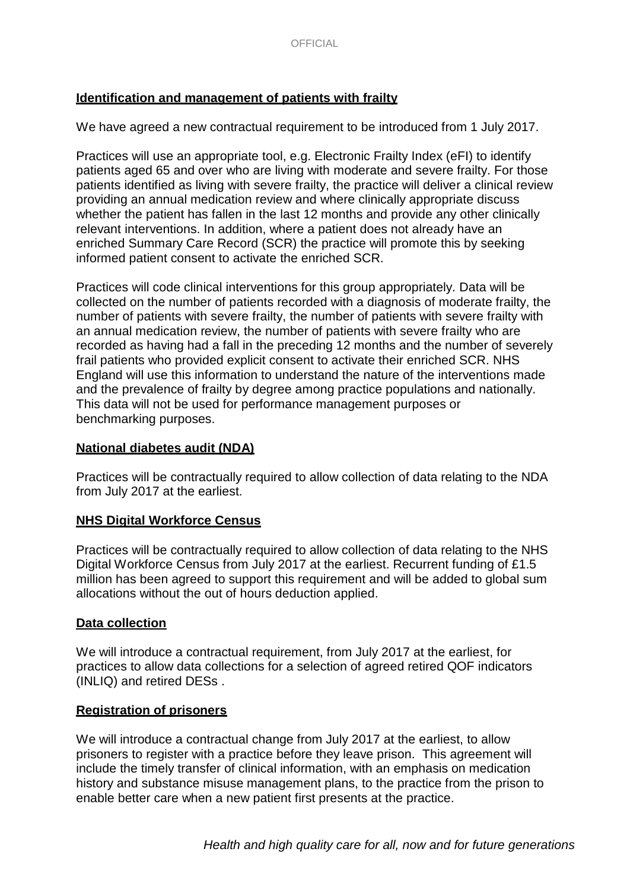### **Identification and management of patients with frailty**

We have agreed a new contractual requirement to be introduced from 1 July 2017.

Practices will use an appropriate tool, e.g. Electronic Frailty Index (eFI) to identify patients aged 65 and over who are living with moderate and severe frailty. For those patients identified as living with severe frailty, the practice will deliver a clinical review providing an annual medication review and where clinically appropriate discuss whether the patient has fallen in the last 12 months and provide any other clinically relevant interventions. In addition, where a patient does not already have an enriched Summary Care Record (SCR) the practice will promote this by seeking informed patient consent to activate the enriched SCR.

Practices will code clinical interventions for this group appropriately. Data will be collected on the number of patients recorded with a diagnosis of moderate frailty, the number of patients with severe frailty, the number of patients with severe frailty with an annual medication review, the number of patients with severe frailty who are recorded as having had a fall in the preceding 12 months and the number of severely frail patients who provided explicit consent to activate their enriched SCR. NHS England will use this information to understand the nature of the interventions made and the prevalence of frailty by degree among practice populations and nationally. This data will not be used for performance management purposes or benchmarking purposes.

### **National diabetes audit (NDA)**

Practices will be contractually required to allow collection of data relating to the NDA from July 2017 at the earliest.

### **NHS Digital Workforce Census**

Practices will be contractually required to allow collection of data relating to the NHS Digital Workforce Census from July 2017 at the earliest. Recurrent funding of £1.5 million has been agreed to support this requirement and will be added to global sum allocations without the out of hours deduction applied.

### **Data collection**

We will introduce a contractual requirement, from July 2017 at the earliest, for practices to allow data collections for a selection of agreed retired QOF indicators (INLIQ) and retired DESs .

### **Registration of prisoners**

We will introduce a contractual change from July 2017 at the earliest, to allow prisoners to register with a practice before they leave prison. This agreement will include the timely transfer of clinical information, with an emphasis on medication history and substance misuse management plans, to the practice from the prison to enable better care when a new patient first presents at the practice.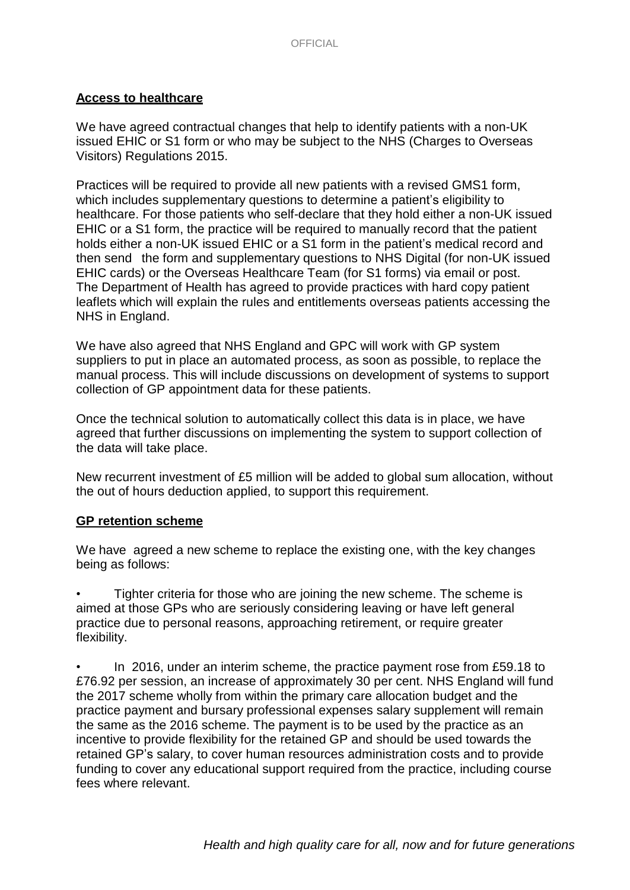### **Access to healthcare**

We have agreed contractual changes that help to identify patients with a non-UK issued EHIC or S1 form or who may be subject to the NHS (Charges to Overseas Visitors) Regulations 2015.

Practices will be required to provide all new patients with a revised GMS1 form, which includes supplementary questions to determine a patient's eligibility to healthcare. For those patients who self-declare that they hold either a non-UK issued EHIC or a S1 form, the practice will be required to manually record that the patient holds either a non-UK issued EHIC or a S1 form in the patient's medical record and then send the form and supplementary questions to NHS Digital (for non-UK issued EHIC cards) or the Overseas Healthcare Team (for S1 forms) via email or post. The Department of Health has agreed to provide practices with hard copy patient leaflets which will explain the rules and entitlements overseas patients accessing the NHS in England.

We have also agreed that NHS England and GPC will work with GP system suppliers to put in place an automated process, as soon as possible, to replace the manual process. This will include discussions on development of systems to support collection of GP appointment data for these patients.

Once the technical solution to automatically collect this data is in place, we have agreed that further discussions on implementing the system to support collection of the data will take place.

New recurrent investment of £5 million will be added to global sum allocation, without the out of hours deduction applied, to support this requirement.

### **GP retention scheme**

We have agreed a new scheme to replace the existing one, with the key changes being as follows:

• Tighter criteria for those who are joining the new scheme. The scheme is aimed at those GPs who are seriously considering leaving or have left general practice due to personal reasons, approaching retirement, or require greater flexibility.

• In 2016, under an interim scheme, the practice payment rose from £59.18 to £76.92 per session, an increase of approximately 30 per cent. NHS England will fund the 2017 scheme wholly from within the primary care allocation budget and the practice payment and bursary professional expenses salary supplement will remain the same as the 2016 scheme. The payment is to be used by the practice as an incentive to provide flexibility for the retained GP and should be used towards the retained GP's salary, to cover human resources administration costs and to provide funding to cover any educational support required from the practice, including course fees where relevant.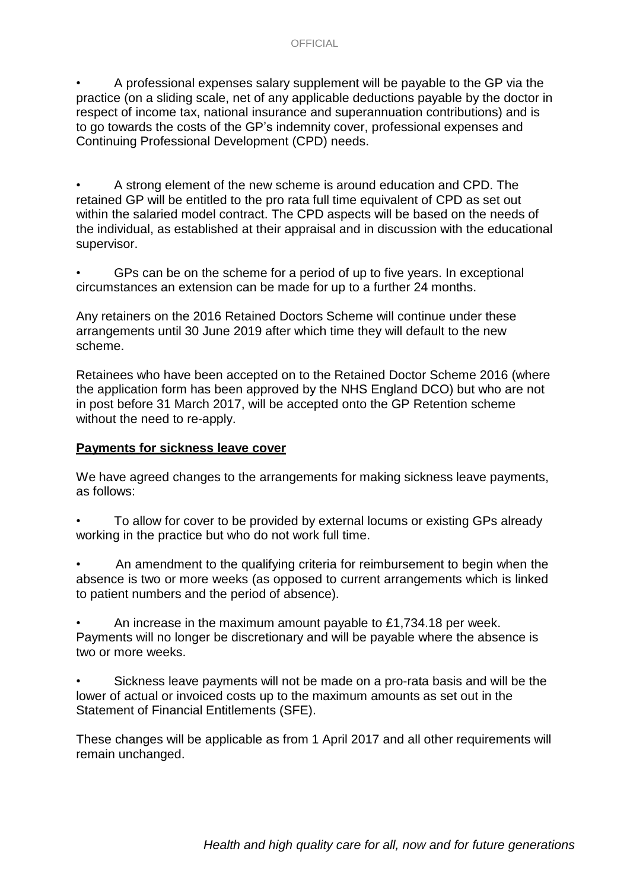• A professional expenses salary supplement will be payable to the GP via the practice (on a sliding scale, net of any applicable deductions payable by the doctor in respect of income tax, national insurance and superannuation contributions) and is to go towards the costs of the GP's indemnity cover, professional expenses and Continuing Professional Development (CPD) needs.

• A strong element of the new scheme is around education and CPD. The retained GP will be entitled to the pro rata full time equivalent of CPD as set out within the salaried model contract. The CPD aspects will be based on the needs of the individual, as established at their appraisal and in discussion with the educational supervisor.

• GPs can be on the scheme for a period of up to five years. In exceptional circumstances an extension can be made for up to a further 24 months.

Any retainers on the 2016 Retained Doctors Scheme will continue under these arrangements until 30 June 2019 after which time they will default to the new scheme.

Retainees who have been accepted on to the Retained Doctor Scheme 2016 (where the application form has been approved by the NHS England DCO) but who are not in post before 31 March 2017, will be accepted onto the GP Retention scheme without the need to re-apply.

### **Payments for sickness leave cover**

We have agreed changes to the arrangements for making sickness leave payments, as follows:

- To allow for cover to be provided by external locums or existing GPs already working in the practice but who do not work full time.
- An amendment to the qualifying criteria for reimbursement to begin when the absence is two or more weeks (as opposed to current arrangements which is linked to patient numbers and the period of absence).
- An increase in the maximum amount payable to £1,734.18 per week. Payments will no longer be discretionary and will be payable where the absence is two or more weeks.
- Sickness leave payments will not be made on a pro-rata basis and will be the lower of actual or invoiced costs up to the maximum amounts as set out in the Statement of Financial Entitlements (SFE).

These changes will be applicable as from 1 April 2017 and all other requirements will remain unchanged.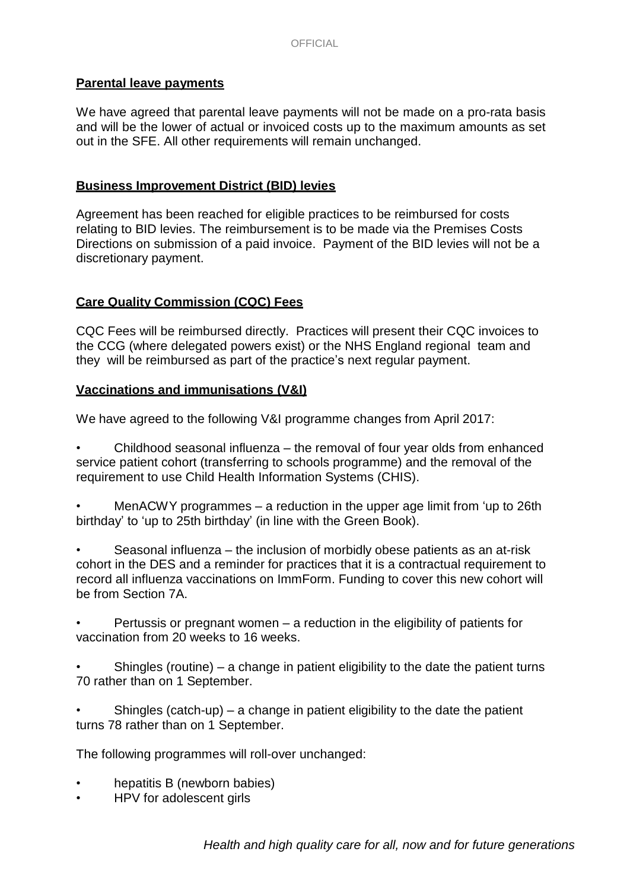## **Parental leave payments**

We have agreed that parental leave payments will not be made on a pro-rata basis and will be the lower of actual or invoiced costs up to the maximum amounts as set out in the SFE. All other requirements will remain unchanged.

## **Business Improvement District (BID) levies**

Agreement has been reached for eligible practices to be reimbursed for costs relating to BID levies. The reimbursement is to be made via the Premises Costs Directions on submission of a paid invoice. Payment of the BID levies will not be a discretionary payment.

## **Care Quality Commission (CQC) Fees**

CQC Fees will be reimbursed directly. Practices will present their CQC invoices to the CCG (where delegated powers exist) or the NHS England regional team and they will be reimbursed as part of the practice's next regular payment.

## **Vaccinations and immunisations (V&I)**

We have agreed to the following V&I programme changes from April 2017:

• Childhood seasonal influenza – the removal of four year olds from enhanced service patient cohort (transferring to schools programme) and the removal of the requirement to use Child Health Information Systems (CHIS).

• MenACWY programmes – a reduction in the upper age limit from 'up to 26th birthday' to 'up to 25th birthday' (in line with the Green Book).

• Seasonal influenza – the inclusion of morbidly obese patients as an at-risk cohort in the DES and a reminder for practices that it is a contractual requirement to record all influenza vaccinations on ImmForm. Funding to cover this new cohort will be from Section 7A.

• Pertussis or pregnant women – a reduction in the eligibility of patients for vaccination from 20 weeks to 16 weeks.

• Shingles (routine) – a change in patient eligibility to the date the patient turns 70 rather than on 1 September.

• Shingles (catch-up) – a change in patient eligibility to the date the patient turns 78 rather than on 1 September.

The following programmes will roll-over unchanged:

- hepatitis B (newborn babies)
- HPV for adolescent girls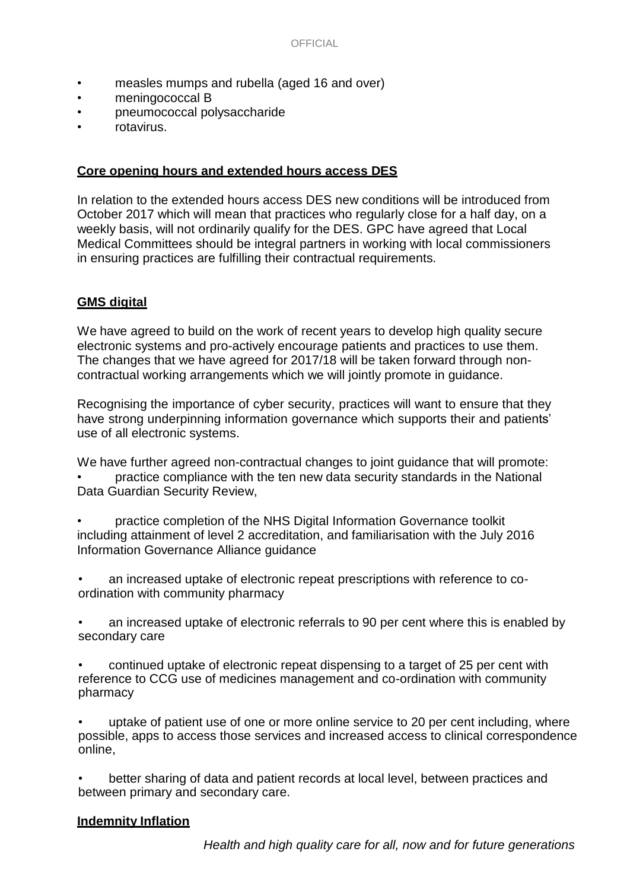- measles mumps and rubella (aged 16 and over)
- meningococcal B
- pneumococcal polysaccharide
- rotavirus.

### **Core opening hours and extended hours access DES**

In relation to the extended hours access DES new conditions will be introduced from October 2017 which will mean that practices who regularly close for a half day, on a weekly basis, will not ordinarily qualify for the DES. GPC have agreed that Local Medical Committees should be integral partners in working with local commissioners in ensuring practices are fulfilling their contractual requirements.

## **GMS digital**

We have agreed to build on the work of recent years to develop high quality secure electronic systems and pro-actively encourage patients and practices to use them. The changes that we have agreed for 2017/18 will be taken forward through noncontractual working arrangements which we will jointly promote in guidance.

Recognising the importance of cyber security, practices will want to ensure that they have strong underpinning information governance which supports their and patients' use of all electronic systems.

We have further agreed non-contractual changes to joint guidance that will promote: • practice compliance with the ten new data security standards in the National Data Guardian Security Review,

• practice completion of the NHS Digital Information Governance toolkit including attainment of level 2 accreditation, and familiarisation with the July 2016 Information Governance Alliance guidance

- an increased uptake of electronic repeat prescriptions with reference to coordination with community pharmacy
- an increased uptake of electronic referrals to 90 per cent where this is enabled by secondary care
- continued uptake of electronic repeat dispensing to a target of 25 per cent with reference to CCG use of medicines management and co-ordination with community pharmacy

• uptake of patient use of one or more online service to 20 per cent including, where possible, apps to access those services and increased access to clinical correspondence online,

• better sharing of data and patient records at local level, between practices and between primary and secondary care.

### **Indemnity Inflation**